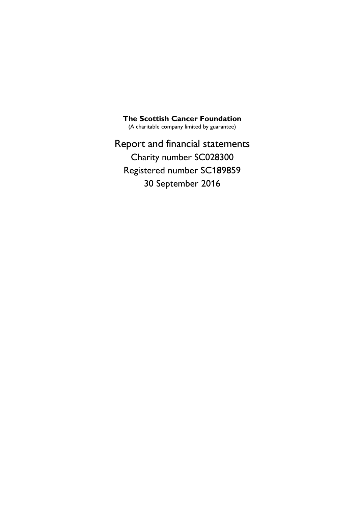**The Scottish Cancer Foundation**

(A charitable company limited by guarantee)

Report and financial statements Charity number SC028300 Registered number SC189859 30 September 2016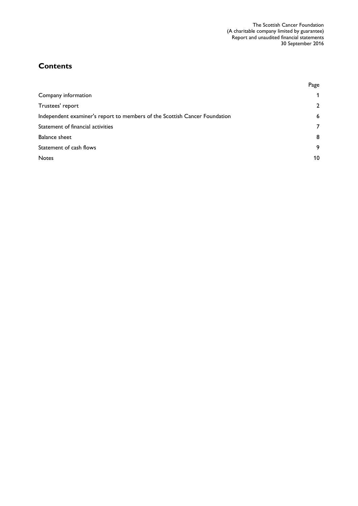# **Contents**

|                                                                            | Page         |
|----------------------------------------------------------------------------|--------------|
| Company information                                                        | 1            |
| Trustees' report                                                           | $\mathbf{2}$ |
| Independent examiner's report to members of the Scottish Cancer Foundation | 6            |
| Statement of financial activities                                          | 7            |
| <b>Balance sheet</b>                                                       | 8            |
| Statement of cash flows                                                    | 9            |
| <b>Notes</b>                                                               | 10           |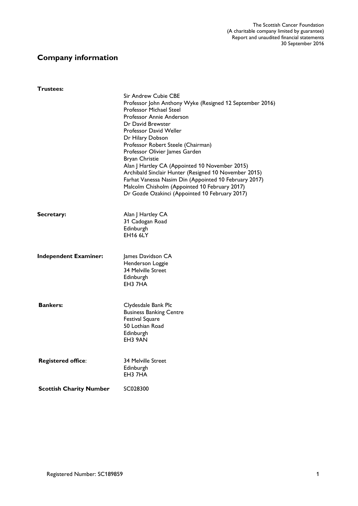# **Company information**

| Trustees:                      |                                                                                                                                                                                                                                                                                                                                                                                                                                                                                                                                                                                    |
|--------------------------------|------------------------------------------------------------------------------------------------------------------------------------------------------------------------------------------------------------------------------------------------------------------------------------------------------------------------------------------------------------------------------------------------------------------------------------------------------------------------------------------------------------------------------------------------------------------------------------|
|                                | Sir Andrew Cubie CBE<br>Professor John Anthony Wyke (Resigned 12 September 2016)<br><b>Professor Michael Steel</b><br>Professor Annie Anderson<br>Dr David Brewster<br>Professor David Weller<br>Dr Hilary Dobson<br>Professor Robert Steele (Chairman)<br>Professor Olivier James Garden<br>Bryan Christie<br>Alan J Hartley CA (Appointed 10 November 2015)<br>Archibald Sinclair Hunter (Resigned 10 November 2015)<br>Farhat Vanessa Nasim Din (Appointed 10 February 2017)<br>Malcolm Chisholm (Appointed 10 February 2017)<br>Dr Gozde Ozakinci (Appointed 10 February 2017) |
| Secretary:                     | Alan J Hartley CA<br>31 Cadogan Road<br>Edinburgh<br><b>EH16 6LY</b>                                                                                                                                                                                                                                                                                                                                                                                                                                                                                                               |
| <b>Independent Examiner:</b>   | James Davidson CA<br>Henderson Loggie<br>34 Melville Street<br>Edinburgh<br>EH3 7HA                                                                                                                                                                                                                                                                                                                                                                                                                                                                                                |
| <b>Bankers:</b>                | Clydesdale Bank Plc<br><b>Business Banking Centre</b><br><b>Festival Square</b><br>50 Lothian Road<br>Edinburgh<br>EH3 9AN                                                                                                                                                                                                                                                                                                                                                                                                                                                         |
| <b>Registered office:</b>      | <b>34 Melville Street</b><br>Edinburgh<br>EH3 7HA                                                                                                                                                                                                                                                                                                                                                                                                                                                                                                                                  |
| <b>Scottish Charity Number</b> | SC028300                                                                                                                                                                                                                                                                                                                                                                                                                                                                                                                                                                           |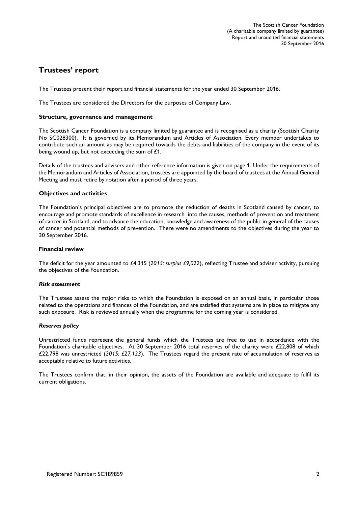# **Trustees' report**

The Trustees present their report and financial statements for the year ended 30 September 2016.

The Trustees are considered the Directors for the purposes of Company Law.

#### **Structure, governance and management**

The Scottish Cancer Foundation is a company limited by guarantee and is recognised as a charity (Scottish Charity No SC028300). It is governed by its Memorandum and Articles of Association. Every member undertakes to contribute such an amount as may be required towards the debts and liabilities of the company in the event of its being wound up, but not exceeding the sum of £1.

Details of the trustees and advisers and other reference information is given on page 1. Under the requirements of the Memorandum and Articles of Association, trustees are appointed by the board of trustees at the Annual General Meeting and must retire by rotation after a period of three years.

#### **Objectives and activities**

The Foundation's principal objectives are to promote the reduction of deaths in Scotland caused by cancer, to encourage and promote standards of excellence in research into the causes, methods of prevention and treatment of cancer in Scotland, and to advance the education, knowledge and awareness of the public in general of the causes of cancer and potential methods of prevention. There were no amendments to the objectives during the year to 30 September 2016.

#### **Financial review**

The deficit for the year amounted to £4,315 (*2015: surplus £9,022*), reflecting Trustee and adviser activity, pursuing the objectives of the Foundation.

#### *Risk assessment*

The Trustees assess the major risks to which the Foundation is exposed on an annual basis, in particular those related to the operations and finances of the Foundation, and are satisfied that systems are in place to mitigate any such exposure. Risk is reviewed annually when the programme for the coming year is considered.

#### *Reserves policy*

Unrestricted funds represent the general funds which the Trustees are free to use in accordance with the Foundation's charitable objectives. At 30 September 2016 total reserves of the charity were £22,808 of which £22,798 was unrestricted (*2015: £27,123*). The Trustees regard the present rate of accumulation of reserves as acceptable relative to future activities.

The Trustees confirm that, in their opinion, the assets of the Foundation are available and adequate to fulfil its current obligations.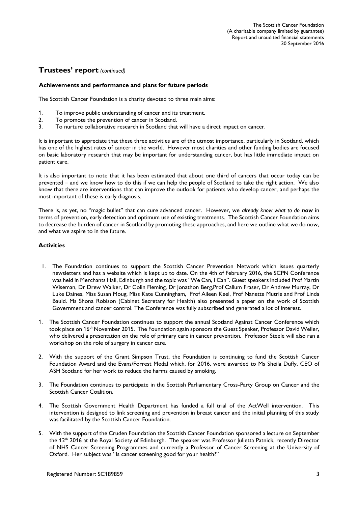# **Trustees' report** *(continued)*

#### **Achievements and performance and plans for future periods**

The Scottish Cancer Foundation is a charity devoted to three main aims:

- 1. To improve public understanding of cancer and its treatment.
- 2. To promote the prevention of cancer in Scotland.
- 3. To nurture collaborative research in Scotland that will have a direct impact on cancer.

It is important to appreciate that these three activities are of the utmost importance, particularly in Scotland, which has one of the highest rates of cancer in the world. However most charities and other funding bodies are focused on basic laboratory research that may be important for understanding cancer, but has little immediate impact on patient care.

It is also important to note that it has been estimated that about one third of cancers that occur today can be prevented – and we know how to do this if we can help the people of Scotland to take the right action. We also know that there are interventions that can improve the outlook for patients who develop cancer, and perhaps the most important of these is early diagnosis.

There is, as yet, no "magic bullet" that can cure advanced cancer. However, we *already know what to do now* in terms of prevention, early detection and optimum use of existing treatments. The Scottish Cancer Foundation aims to decrease the burden of cancer in Scotland by promoting these approaches, and here we outline what we do now, and what we aspire to in the future.

#### **Activities**

- 1. The Foundation continues to support the Scottish Cancer Prevention Network which issues quarterly newsletters and has a website which is kept up to date. On the 4th of February 2016, the SCPN Conference was held in Merchants Hall, Edinburgh and the topic was "We Can, I Can". Guest speakers included Prof Martin Wiseman, Dr Drew Walker, Dr Colin Fleming, Dr Jonathon Berg,Prof Callum Fraser, Dr Andrew Murray, Dr Luke Daines, Miss Susan Moug, Miss Kate Cunningham, Prof Aileen Keel, Prof Nanette Mutrie and Prof Linda Bauld. Ms Shona Robison (Cabinet Secretary for Health) also presented a paper on the work of Scottish Government and cancer control. The Conference was fully subscribed and generated a lot of interest.
- 1. The Scottish Cancer Foundation continues to support the annual Scotland Against Cancer Conference which took place on 16th November 2015. The Foundation again sponsors the Guest Speaker, Professor David Weller, who delivered a presentation on the role of primary care in cancer prevention. Professor Steele will also ran a workshop on the role of surgery in cancer care.
- 2. With the support of the Grant Simpson Trust, the Foundation is continuing to fund the Scottish Cancer Foundation Award and the Evans/Forrest Medal which, for 2016, were awarded to Ms Sheila Duffy, CEO of ASH Scotland for her work to reduce the harms caused by smoking.
- 3. The Foundation continues to participate in the Scottish Parliamentary Cross-Party Group on Cancer and the Scottish Cancer Coalition.
- 4. The Scottish Government Health Department has funded a full trial of the ActWell intervention. This intervention is designed to link screening and prevention in breast cancer and the initial planning of this study was facilitated by the Scottish Cancer Foundation.
- 5. With the support of the Cruden Foundation the Scottish Cancer Foundation sponsored a lecture on September the 12<sup>th</sup> 2016 at the Royal Society of Edinburgh. The speaker was Professor Julietta Patnick, recently Director of NHS Cancer Screening Programmes and currently a Professor of Cancer Screening at the University of Oxford. Her subject was "Is cancer screening good for your health?"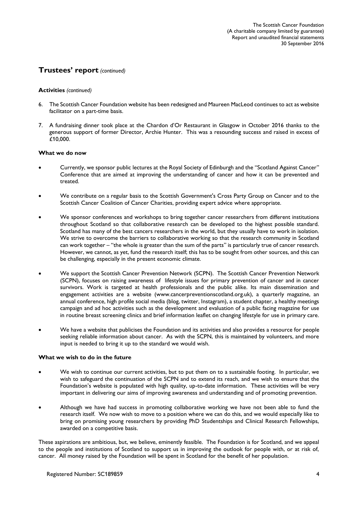# **Trustees' report** *(continued)*

#### **Activities** *(continued)*

- 6. The Scottish Cancer Foundation website has been redesigned and Maureen MacLeod continues to act as website facilitator on a part-time basis.
- 7. A fundraising dinner took place at the Chardon d'Or Restaurant in Glasgow in October 2016 thanks to the generous support of former Director, Archie Hunter. This was a resounding success and raised in excess of £10,000.

#### **What we do now**

- Currently, we sponsor public lectures at the Royal Society of Edinburgh and the "Scotland Against Cancer" Conference that are aimed at improving the understanding of cancer and how it can be prevented and treated.
- We contribute on a regular basis to the Scottish Government's Cross Party Group on Cancer and to the Scottish Cancer Coalition of Cancer Charities, providing expert advice where appropriate.
- We sponsor conferences and workshops to bring together cancer researchers from different institutions throughout Scotland so that collaborative research can be developed to the highest possible standard. Scotland has many of the best cancers researchers in the world, but they usually have to work in isolation. We strive to overcome the barriers to collaborative working so that the research community in Scotland can work together – "the whole is greater than the sum of the parts" is particularly true of cancer research. However, we cannot, as yet, fund the research itself; this has to be sought from other sources, and this can be challenging, especially in the present economic climate.
- We support the Scottish Cancer Prevention Network (SCPN). The Scottish Cancer Prevention Network (SCPN), focuses on raising awareness of lifestyle issues for primary prevention of cancer and in cancer survivors. Work is targeted at health professionals and the public alike. Its main dissemination and engagement activities are a website (www.cancerpreventionscotland.org.uk), a quarterly magazine, an annual conference, high profile social media (blog, twitter, Instagram), a student chapter, a healthy meetings campaign and ad hoc activities such as the development and evaluation of a public facing magazine for use in routine breast screening clinics and brief information leaflet on changing lifestyle for use in primary care.
- We have a website that publicises the Foundation and its activities and also provides a resource for people seeking reliable information about cancer. As with the SCPN, this is maintained by volunteers, and more input is needed to bring it up to the standard we would wish.

#### **What we wish to do in the future**

- We wish to continue our current activities, but to put them on to a sustainable footing. In particular, we wish to safeguard the continuation of the SCPN and to extend its reach, and we wish to ensure that the Foundation's website is populated with high quality, up-to-date information. These activities will be very important in delivering our aims of improving awareness and understanding and of promoting prevention.
- Although we have had success in promoting collaborative working we have not been able to fund the research itself. We now wish to move to a position where we can do this, and we would especially like to bring on promising young researchers by providing PhD Studentships and Clinical Research Fellowships, awarded on a competitive basis.

These aspirations are ambitious, but, we believe, eminently feasible. The Foundation is for Scotland, and we appeal to the people and institutions of Scotland to support us in improving the outlook for people with, or at risk of, cancer. All money raised by the Foundation will be spent in Scotland for the benefit of her population.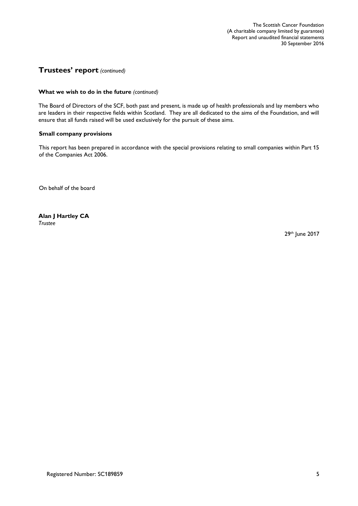# **Trustees' report** *(continued)*

#### **What we wish to do in the future** *(continued)*

The Board of Directors of the SCF, both past and present, is made up of health professionals and lay members who are leaders in their respective fields within Scotland. They are all dedicated to the aims of the Foundation, and will ensure that all funds raised will be used exclusively for the pursuit of these aims.

#### **Small company provisions**

This report has been prepared in accordance with the special provisions relating to small companies within Part 15 of the Companies Act 2006.

On behalf of the board

**Alan J Hartley CA** *Trustee*

29th June 2017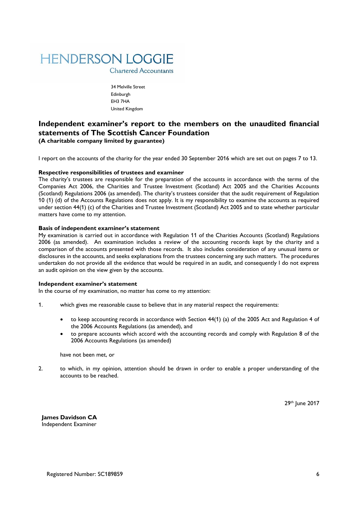

**Chartered Accountants** 

34 Melville Street Edinburgh EH3 7HA United Kingdom

# **Independent examiner's report to the members on the unaudited financial statements of The Scottish Cancer Foundation (A charitable company limited by guarantee)**

I report on the accounts of the charity for the year ended 30 September 2016 which are set out on pages 7 to 13.

#### **Respective responsibilities of trustees and examiner**

The charity's trustees are responsible for the preparation of the accounts in accordance with the terms of the Companies Act 2006, the Charities and Trustee Investment (Scotland) Act 2005 and the Charities Accounts (Scotland) Regulations 2006 (as amended). The charity's trustees consider that the audit requirement of Regulation 10 (1) (d) of the Accounts Regulations does not apply. It is my responsibility to examine the accounts as required under section 44(1) (c) of the Charities and Trustee Investment (Scotland) Act 2005 and to state whether particular matters have come to my attention.

#### **Basis of independent examiner's statement**

My examination is carried out in accordance with Regulation 11 of the Charities Accounts (Scotland) Regulations 2006 (as amended). An examination includes a review of the accounting records kept by the charity and a comparison of the accounts presented with those records. It also includes consideration of any unusual items or disclosures in the accounts, and seeks explanations from the trustees concerning any such matters. The procedures undertaken do not provide all the evidence that would be required in an audit, and consequently I do not express an audit opinion on the view given by the accounts.

#### **Independent examiner's statement**

In the course of my examination, no matter has come to my attention:

- 1. which gives me reasonable cause to believe that in any material respect the requirements:
	- to keep accounting records in accordance with Section 44(1) (a) of the 2005 Act and Regulation 4 of the 2006 Accounts Regulations (as amended), and
	- to prepare accounts which accord with the accounting records and comply with Regulation 8 of the 2006 Accounts Regulations (as amended)

have not been met, or

2. to which, in my opinion, attention should be drawn in order to enable a proper understanding of the accounts to be reached.

29th June 2017

**James Davidson CA** Independent Examiner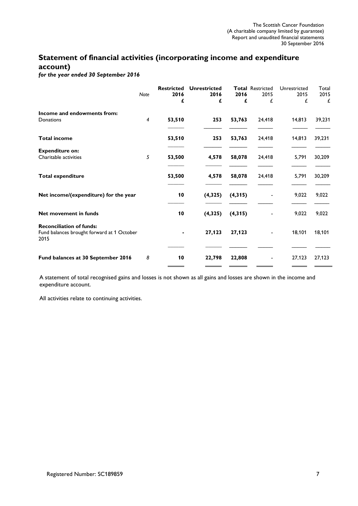# **Statement of financial activities (incorporating income and expenditure account)**

*for the year ended 30 September 2016*

|                                                                                       | <b>Note</b> | <b>Restricted</b><br>2016<br>£ | <b>Unrestricted</b><br>2016<br>£ | 2016<br>£ | <b>Total Restricted</b><br>2015<br>£ | Unrestricted<br>2015<br>£ | Total<br>2015<br>£ |
|---------------------------------------------------------------------------------------|-------------|--------------------------------|----------------------------------|-----------|--------------------------------------|---------------------------|--------------------|
| Income and endowments from:                                                           |             |                                |                                  |           |                                      |                           |                    |
| Donations                                                                             | 4           | 53,510                         | 253                              | 53,763    | 24,418                               | 14,813                    | 39,231             |
| <b>Total income</b>                                                                   |             | 53,510                         | 253                              | 53,763    | 24,418                               | 14,813                    | 39,231             |
| <b>Expenditure on:</b>                                                                |             |                                |                                  |           |                                      |                           |                    |
| Charitable activities                                                                 | 5           | 53,500                         | 4,578                            | 58,078    | 24,418                               | 5,791                     | 30,209             |
| <b>Total expenditure</b>                                                              |             | 53,500                         | 4,578                            | 58,078    | 24,418                               | 5,791                     | 30,209             |
| Net income/(expenditure) for the year                                                 |             | 10                             | (4, 325)                         | (4, 315)  |                                      | 9,022                     | 9,022              |
| Net movement in funds                                                                 |             | 10                             | (4, 325)                         | (4, 315)  |                                      | 9,022                     | 9,022              |
| <b>Reconciliation of funds:</b><br>Fund balances brought forward at 1 October<br>2015 |             |                                | 27,123                           | 27,123    |                                      | 18,101                    | 18,101             |
| Fund balances at 30 September 2016                                                    | 8           | 10                             | 22,798                           | 22,808    |                                      | 27,123                    | 27,123             |

A statement of total recognised gains and losses is not shown as all gains and losses are shown in the income and expenditure account.

All activities relate to continuing activities.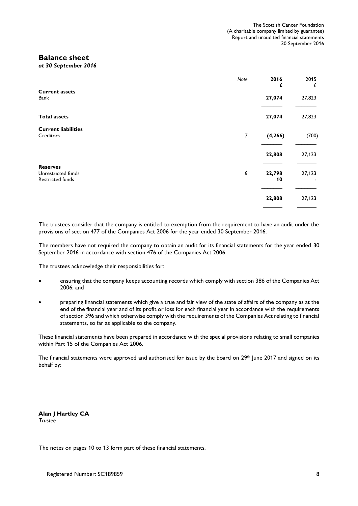## **Balance sheet**

*at 30 September 2016*

|                                                           | Note | 2016<br>£    | 2015<br>£ |
|-----------------------------------------------------------|------|--------------|-----------|
| <b>Current assets</b><br>Bank                             |      | 27,074       | 27,823    |
| <b>Total assets</b>                                       |      | 27,074       | 27,823    |
| <b>Current liabilities</b><br>Creditors                   | 7    | (4, 266)     | (700)     |
|                                                           |      | 22,808       | 27,123    |
| <b>Reserves</b><br>Unrestricted funds<br>Restricted funds | 8    | 22,798<br>10 | 27,123    |
|                                                           |      | 22,808       | 27,123    |

The trustees consider that the company is entitled to exemption from the requirement to have an audit under the provisions of section 477 of the Companies Act 2006 for the year ended 30 September 2016.

The members have not required the company to obtain an audit for its financial statements for the year ended 30 September 2016 in accordance with section 476 of the Companies Act 2006.

The trustees acknowledge their responsibilities for:

- ensuring that the company keeps accounting records which comply with section 386 of the Companies Act 2006; and
- preparing financial statements which give a true and fair view of the state of affairs of the company as at the end of the financial year and of its profit or loss for each financial year in accordance with the requirements of section 396 and which otherwise comply with the requirements of the Companies Act relating to financial statements, so far as applicable to the company.

These financial statements have been prepared in accordance with the special provisions relating to small companies within Part 15 of the Companies Act 2006.

The financial statements were approved and authorised for issue by the board on 29<sup>th</sup> June 2017 and signed on its behalf by:

**Alan J Hartley CA** *Trustee*

The notes on pages 10 to 13 form part of these financial statements.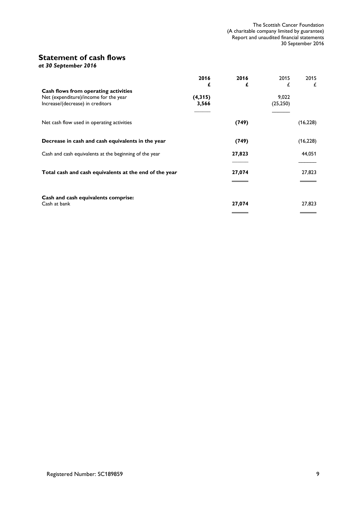# **Statement of cash flows**

*at 30 September 2016*

|                                                        | 2016    | 2016   | 2015      | 2015      |
|--------------------------------------------------------|---------|--------|-----------|-----------|
|                                                        | £       | £      | £         | £         |
| Cash flows from operating activities                   |         |        |           |           |
| Net (expenditure)/income for the year                  | (4,315) |        | 9,022     |           |
| Increase/(decrease) in creditors                       | 3,566   |        | (25, 250) |           |
| Net cash flow used in operating activities             |         | (749)  |           | (16, 228) |
| Decrease in cash and cash equivalents in the year      |         | (749)  |           | (16, 228) |
| Cash and cash equivalents at the beginning of the year |         | 27,823 |           | 44,051    |
|                                                        |         |        |           |           |
| Total cash and cash equivalents at the end of the year |         | 27,074 |           | 27,823    |
|                                                        |         |        |           |           |
| Cash and cash equivalents comprise:                    |         |        |           |           |
| Cash at bank                                           |         | 27,074 |           | 27,823    |
|                                                        |         |        |           |           |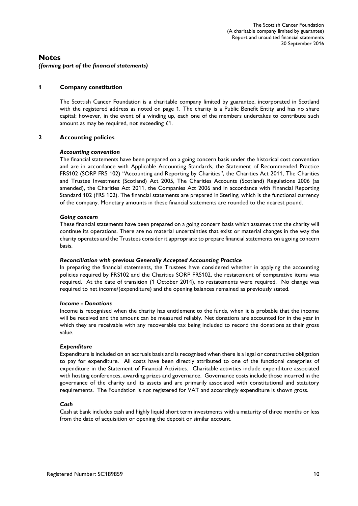### **Notes** *(forming part of the financial statements)*

#### **1 Company constitution**

The Scottish Cancer Foundation is a charitable company limited by guarantee, incorporated in Scotland with the registered address as noted on page 1. The charity is a Public Benefit Entity and has no share capital; however, in the event of a winding up, each one of the members undertakes to contribute such amount as may be required, not exceeding £1.

#### **2 Accounting policies**

#### *Accounting convention*

The financial statements have been prepared on a going concern basis under the historical cost convention and are in accordance with Applicable Accounting Standards, the Statement of Recommended Practice FRS102 (SORP FRS 102) "Accounting and Reporting by Charities", the Charities Act 2011, The Charities and Trustee Investment (Scotland) Act 2005, The Charities Accounts (Scotland) Regulations 2006 (as amended), the Charities Act 2011, the Companies Act 2006 and in accordance with Financial Reporting Standard 102 (FRS 102). The financial statements are prepared in Sterling, which is the functional currency of the company. Monetary amounts in these financial statements are rounded to the nearest pound.

#### *Going concern*

These financial statements have been prepared on a going concern basis which assumes that the charity will continue its operations. There are no material uncertainties that exist or material changes in the way the charity operates and the Trustees consider it appropriate to prepare financial statements on a going concern basis.

#### *Reconciliation with previous Generally Accepted Accounting Practice*

In preparing the financial statements, the Trustees have considered whether in applying the accounting policies required by FRS102 and the Charities SORP FRS102, the restatement of comparative items was required. At the date of transition (1 October 2014), no restatements were required. No change was required to net income/(expenditure) and the opening balances remained as previously stated.

#### *Income - Donations*

Income is recognised when the charity has entitlement to the funds, when it is probable that the income will be received and the amount can be measured reliably. Net donations are accounted for in the year in which they are receivable with any recoverable tax being included to record the donations at their gross value.

#### *Expenditure*

Expenditure is included on an accruals basis and is recognised when there is a legal or constructive obligation to pay for expenditure. All costs have been directly attributed to one of the functional categories of expenditure in the Statement of Financial Activities. Charitable activities include expenditure associated with hosting conferences, awarding prizes and governance. Governance costs include those incurred in the governance of the charity and its assets and are primarily associated with constitutional and statutory requirements. The Foundation is not registered for VAT and accordingly expenditure is shown gross.

#### *Cash*

Cash at bank includes cash and highly liquid short term investments with a maturity of three months or less from the date of acquisition or opening the deposit or similar account.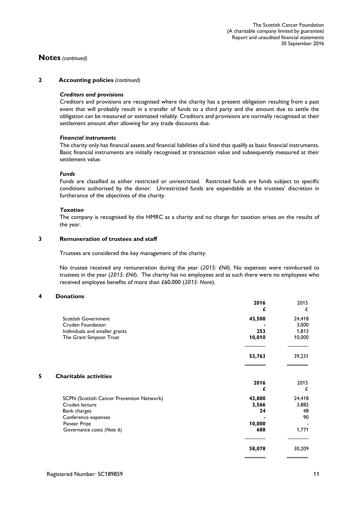#### **Notes** *(continued)*

#### **2 Accounting policies** *(continued)*

#### *Creditors and provisions*

Creditors and provisions are recognised where the charity has a present obligation resulting from a past event that will probably result in a transfer of funds to a third party and the amount due to settle the obligation can be measured or estimated reliably. Creditors and provisions are normally recognised at their settlement amount after allowing for any trade discounts due.

#### *Financial instruments*

The charity only has financial assets and financial liabilities of a kind that qualify as basic financial instruments. Basic financial instruments are initially recognised at transaction value and subsequently measured at their settlement value.

#### *Funds*

Funds are classified as either restricted or unrestricted. Restricted funds are funds subject to specific conditions authorised by the donor. Unrestricted funds are expendable at the trustees' discretion in furtherance of the objectives of the charity.

#### *Taxation*

The company is recognised by the HMRC as a charity and no charge for taxation arises on the results of the year.

#### **3 Remuneration of trustees and staff**

Trustees are considered the key management of the charity.

No trustee received any remuneration during the year (*2015: £Nil*). No expenses were reimbursed to trustees in the year (*2015: £Nil*). The charity has no employees and as such there were no employees who received employee benefits of more than £60,000 (*2015: None*).

#### **4 Donations**

|   |                                           | 2016   | 2015<br>£ |
|---|-------------------------------------------|--------|-----------|
|   | <b>Scottish Government</b>                | 43,500 | 24,418    |
|   | Cruden Foundation                         |        | 3,000     |
|   | Individuals and smaller grants            | 253    | 1,813     |
|   | The Grant Simpson Trust                   | 10,010 | 10,000    |
|   |                                           | 53,763 | 39,231    |
| 5 | <b>Charitable activities</b>              | 2016   | 2015      |
|   |                                           | £      | £         |
|   | SCPN (Scottish Cancer Prevention Network) | 43,800 | 24,418    |
|   | Cruden lecture                            | 3,566  | 3,882     |
|   | Bank charges                              | 24     | 48        |
|   | Conference expenses                       |        | 90        |
|   | Paneer Prize                              | 10,000 |           |
|   | Governance costs (Note 6)                 | 688    | 1,771     |
|   |                                           | 58,078 | 30,209    |
|   |                                           |        |           |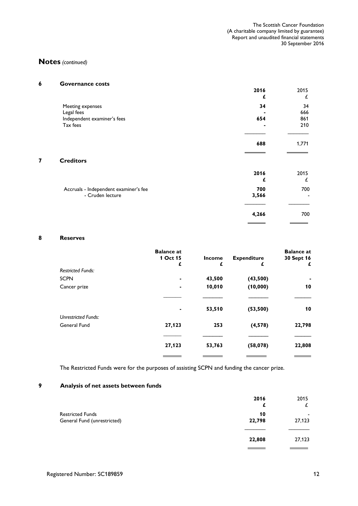# **Notes** *(continued)*

| 6 | <b>Governance costs</b>               |       |                          |
|---|---------------------------------------|-------|--------------------------|
|   |                                       | 2016  | 2015                     |
|   |                                       | £     | £                        |
|   | Meeting expenses                      | 34    | 34                       |
|   | Legal fees                            |       | 666                      |
|   | Independent examiner's fees           | 654   | 861                      |
|   | Tax fees                              |       | 210                      |
|   |                                       | 688   | 1,771                    |
| 7 | <b>Creditors</b>                      |       |                          |
|   |                                       | 2016  | 2015                     |
|   |                                       | £     | £                        |
|   | Accruals - Independent examiner's fee | 700   | 700                      |
|   | - Cruden lecture                      | 3,566 | $\overline{\phantom{a}}$ |
|   |                                       |       |                          |
|   |                                       | 4,266 | 700                      |

#### **8 Reserves**

|                            | <b>Balance</b> at |               |                    | <b>Balance at</b> |
|----------------------------|-------------------|---------------|--------------------|-------------------|
|                            | 1 Oct 15          | <b>Income</b> | <b>Expenditure</b> | 30 Sept 16        |
|                            | £                 | £             | £                  | £                 |
| <b>Restricted Funds:</b>   |                   |               |                    |                   |
| <b>SCPN</b>                |                   | 43,500        | (43,500)           |                   |
| Cancer prize               |                   | 10,010        | (10,000)           | 10                |
|                            |                   |               |                    |                   |
|                            |                   | 53,510        | (53, 500)          | 10                |
| <b>Unrestricted Funds:</b> |                   |               |                    |                   |
| General Fund               | 27,123            | 253           | (4, 578)           | 22,798            |
|                            |                   |               |                    |                   |
|                            | 27,123            | 53,763        | (58,078)           | 22,808            |
|                            |                   |               |                    |                   |

The Restricted Funds were for the purposes of assisting SCPN and funding the cancer prize.

# **9 Analysis of net assets between funds**

|                                                        | 2016<br>£    | 2015<br>£   |
|--------------------------------------------------------|--------------|-------------|
| <b>Restricted Funds</b><br>General Fund (unrestricted) | 10<br>22,798 | -<br>27,123 |
|                                                        | 22,808       | 27,123      |